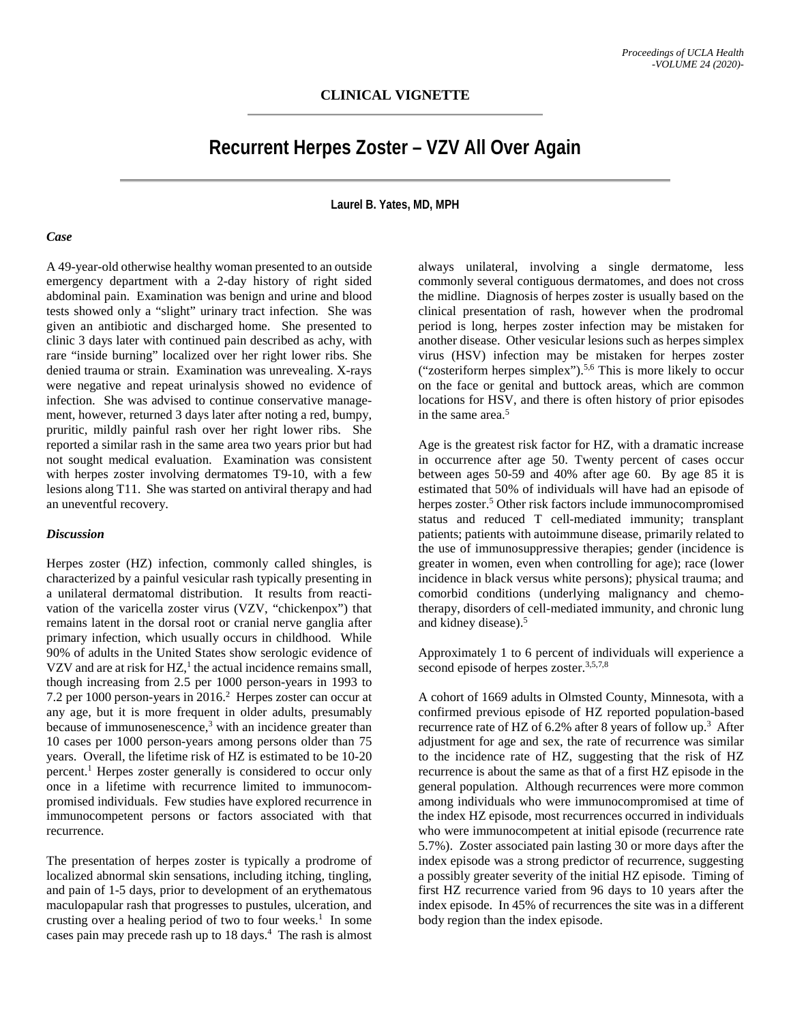## **Recurrent Herpes Zoster – VZV All Over Again**

**Laurel B. Yates, MD, MPH**

## *Case*

A 49-year-old otherwise healthy woman presented to an outside emergency department with a 2-day history of right sided abdominal pain. Examination was benign and urine and blood tests showed only a "slight" urinary tract infection. She was given an antibiotic and discharged home. She presented to clinic 3 days later with continued pain described as achy, with rare "inside burning" localized over her right lower ribs. She denied trauma or strain. Examination was unrevealing. X-rays were negative and repeat urinalysis showed no evidence of infection. She was advised to continue conservative management, however, returned 3 days later after noting a red, bumpy, pruritic, mildly painful rash over her right lower ribs. She reported a similar rash in the same area two years prior but had not sought medical evaluation. Examination was consistent with herpes zoster involving dermatomes T9-10, with a few lesions along T11. She was started on antiviral therapy and had an uneventful recovery.

## *Discussion*

Herpes zoster (HZ) infection, commonly called shingles, is characterized by a painful vesicular rash typically presenting in a unilateral dermatomal distribution. It results from reactivation of the varicella zoster virus (VZV, "chickenpox") that remains latent in the dorsal root or cranial nerve ganglia after primary infection, which usually occurs in childhood. While 90% of adults in the United States show serologic evidence of VZV and are at risk for HZ, <sup>1</sup> the actual incidence remains small, though increasing from 2.5 per 1000 person-years in 1993 to 7.2 per 1000 person-years in 2016. <sup>2</sup> Herpes zoster can occur at any age, but it is more frequent in older adults, presumably because of immunosenescence, <sup>3</sup> with an incidence greater than 10 cases per 1000 person-years among persons older than 75 years. Overall, the lifetime risk of HZ is estimated to be 10-20 percent. <sup>1</sup> Herpes zoster generally is considered to occur only once in a lifetime with recurrence limited to immunocompromised individuals. Few studies have explored recurrence in immunocompetent persons or factors associated with that recurrence.

The presentation of herpes zoster is typically a prodrome of localized abnormal skin sensations, including itching, tingling, and pain of 1-5 days, prior to development of an erythematous maculopapular rash that progresses to pustules, ulceration, and crusting over a healing period of two to four weeks. 1 In some cases pain may precede rash up to 18 days. 4 The rash is almost

always unilateral, involving a single dermatome, less commonly several contiguous dermatomes, and does not cross the midline. Diagnosis of herpes zoster is usually based on the clinical presentation of rash, however when the prodromal period is long, herpes zoster infection may be mistaken for another disease. Other vesicular lesions such as herpes simplex virus (HSV) infection may be mistaken for herpes zoster ("zosteriform herpes simplex"). 5,6 This is more likely to occur on the face or genital and buttock areas, which are common locations for HSV, and there is often history of prior episodes in the same area. 5

Age is the greatest risk factor for HZ, with a dramatic increase in occurrence after age 50. Twenty percent of cases occur between ages 50-59 and 40% after age 60. By age 85 it is estimated that 50% of individuals will have had an episode of herpes zoster. <sup>5</sup> Other risk factors include immunocompromised status and reduced T cell-mediated immunity; transplant patients; patients with autoimmune disease, primarily related to the use of immunosuppressive therapies; gender (incidence is greater in women, even when controlling for age); race (lower incidence in black versus white persons); physical trauma; and comorbid conditions (underlying malignancy and chemotherapy, disorders of cell-mediated immunity, and chronic lung and kidney disease). 5

Approximately 1 to 6 percent of individuals will experience a second episode of herpes zoster.<sup>3,5,7,8</sup>

A cohort of 1669 adults in Olmsted County, Minnesota, with a confirmed previous episode of HZ reported population-based recurrence rate of HZ of 6.2% after 8 years of follow up.<sup>3</sup> After adjustment for age and sex, the rate of recurrence was similar to the incidence rate of HZ, suggesting that the risk of HZ recurrence is about the same as that of a first HZ episode in the general population. Although recurrences were more common among individuals who were immunocompromised at time of the index HZ episode, most recurrences occurred in individuals who were immunocompetent at initial episode (recurrence rate 5.7%). Zoster associated pain lasting 30 or more days after the index episode was a strong predictor of recurrence, suggesting a possibly greater severity of the initial HZ episode. Timing of first HZ recurrence varied from 96 days to 10 years after the index episode. In 45% of recurrences the site was in a different body region than the index episode.